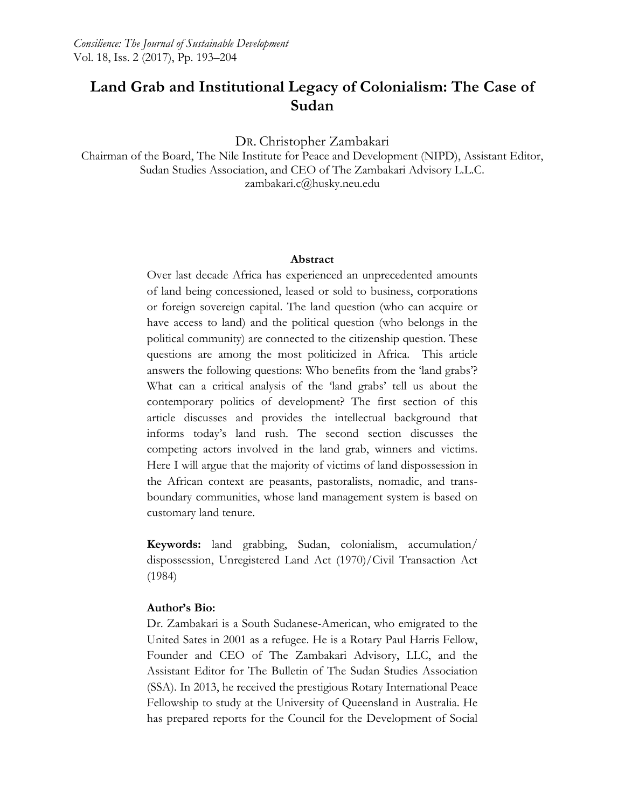# **Land Grab and Institutional Legacy of Colonialism: The Case of Sudan**

DR. Christopher Zambakari

Chairman of the Board, The Nile Institute for Peace and Development (NIPD), Assistant Editor, Sudan Studies Association, and CEO of The Zambakari Advisory L.L.C. zambakari.c@husky.neu.edu

#### **Abstract**

Over last decade Africa has experienced an unprecedented amounts of land being concessioned, leased or sold to business, corporations or foreign sovereign capital. The land question (who can acquire or have access to land) and the political question (who belongs in the political community) are connected to the citizenship question. These questions are among the most politicized in Africa. This article answers the following questions: Who benefits from the 'land grabs'? What can a critical analysis of the 'land grabs' tell us about the contemporary politics of development? The first section of this article discusses and provides the intellectual background that informs today's land rush. The second section discusses the competing actors involved in the land grab, winners and victims. Here I will argue that the majority of victims of land dispossession in the African context are peasants, pastoralists, nomadic, and transboundary communities, whose land management system is based on customary land tenure.

**Keywords:** land grabbing, Sudan, colonialism, accumulation/ dispossession, Unregistered Land Act (1970)/Civil Transaction Act (1984)

#### **Author's Bio:**

Dr. Zambakari is a South Sudanese-American, who emigrated to the United Sates in 2001 as a refugee. He is a Rotary Paul Harris Fellow, Founder and CEO of The Zambakari Advisory, LLC, and the Assistant Editor for The Bulletin of The Sudan Studies Association (SSA). In 2013, he received the prestigious Rotary International Peace Fellowship to study at the University of Queensland in Australia. He has prepared reports for the Council for the Development of Social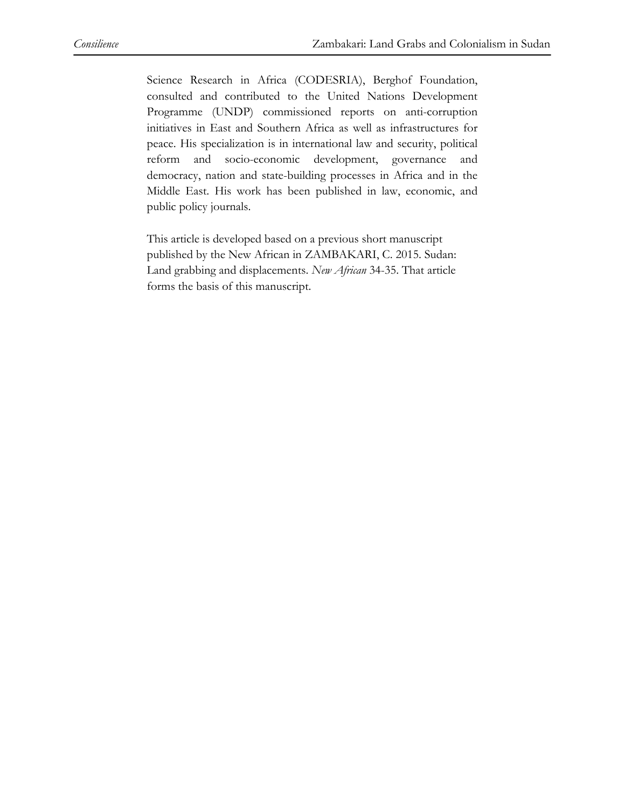Science Research in Africa (CODESRIA), Berghof Foundation, consulted and contributed to the United Nations Development Programme (UNDP) commissioned reports on anti-corruption initiatives in East and Southern Africa as well as infrastructures for peace. His specialization is in international law and security, political reform and socio-economic development, governance and democracy, nation and state-building processes in Africa and in the Middle East. His work has been published in law, economic, and public policy journals.

This article is developed based on a previous short manuscript published by the New African in ZAMBAKARI, C. 2015. Sudan: Land grabbing and displacements. *New African* 34-35. That article forms the basis of this manuscript.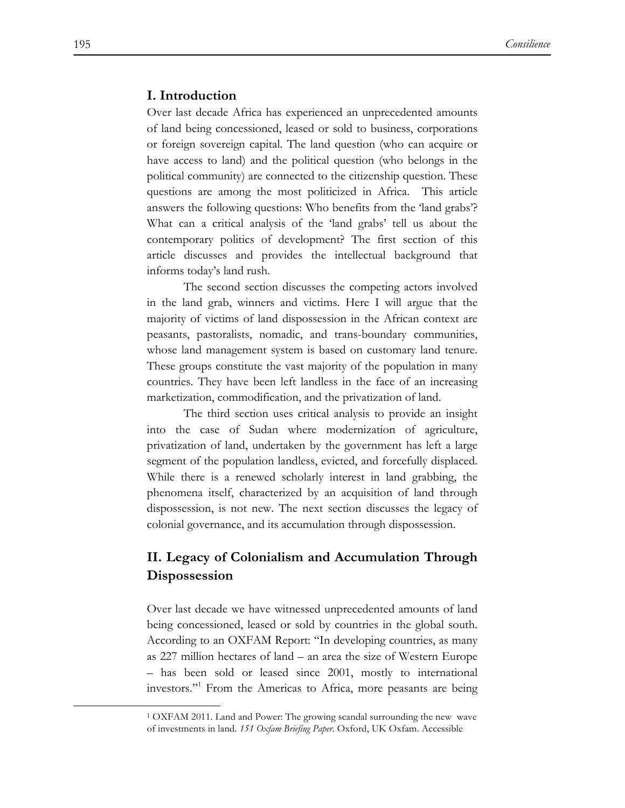#### **I. Introduction**

 

Over last decade Africa has experienced an unprecedented amounts of land being concessioned, leased or sold to business, corporations or foreign sovereign capital. The land question (who can acquire or have access to land) and the political question (who belongs in the political community) are connected to the citizenship question. These questions are among the most politicized in Africa. This article answers the following questions: Who benefits from the 'land grabs'? What can a critical analysis of the 'land grabs' tell us about the contemporary politics of development? The first section of this article discusses and provides the intellectual background that informs today's land rush.

The second section discusses the competing actors involved in the land grab, winners and victims. Here I will argue that the majority of victims of land dispossession in the African context are peasants, pastoralists, nomadic, and trans-boundary communities, whose land management system is based on customary land tenure. These groups constitute the vast majority of the population in many countries. They have been left landless in the face of an increasing marketization, commodification, and the privatization of land.

The third section uses critical analysis to provide an insight into the case of Sudan where modernization of agriculture, privatization of land, undertaken by the government has left a large segment of the population landless, evicted, and forcefully displaced. While there is a renewed scholarly interest in land grabbing, the phenomena itself, characterized by an acquisition of land through dispossession, is not new. The next section discusses the legacy of colonial governance, and its accumulation through dispossession.

## **II. Legacy of Colonialism and Accumulation Through Dispossession**

Over last decade we have witnessed unprecedented amounts of land being concessioned, leased or sold by countries in the global south. According to an OXFAM Report: "In developing countries, as many as 227 million hectares of land – an area the size of Western Europe – has been sold or leased since 2001, mostly to international investors."1 From the Americas to Africa, more peasants are being

<sup>1</sup> OXFAM 2011. Land and Power: The growing scandal surrounding the new wave of investments in land. *151 Oxfam Briefing Paper.* Oxford, UK Oxfam. Accessible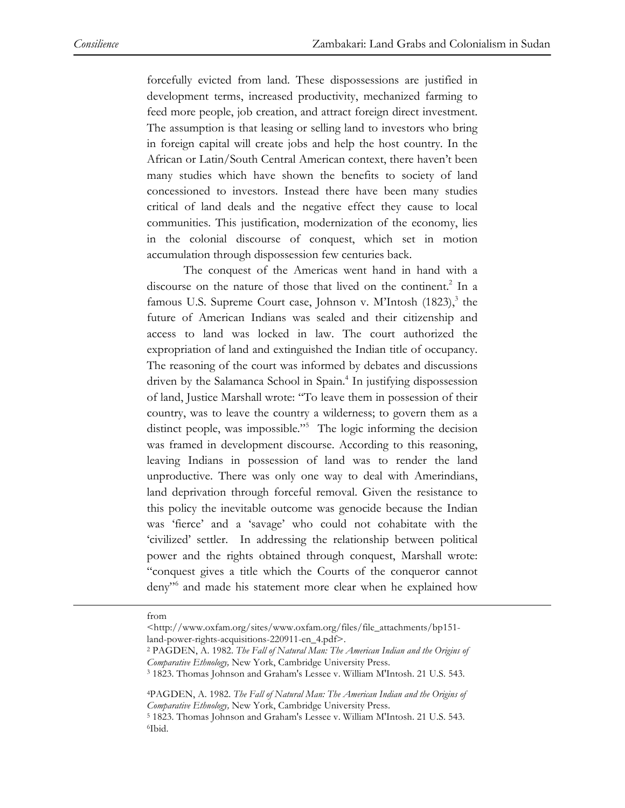forcefully evicted from land. These dispossessions are justified in development terms, increased productivity, mechanized farming to feed more people, job creation, and attract foreign direct investment. The assumption is that leasing or selling land to investors who bring in foreign capital will create jobs and help the host country. In the African or Latin/South Central American context, there haven't been many studies which have shown the benefits to society of land concessioned to investors. Instead there have been many studies critical of land deals and the negative effect they cause to local communities. This justification, modernization of the economy, lies in the colonial discourse of conquest, which set in motion accumulation through dispossession few centuries back.

The conquest of the Americas went hand in hand with a discourse on the nature of those that lived on the continent.<sup>2</sup> In a famous U.S. Supreme Court case, Johnson v. M'Intosh  $(1823)$ , the future of American Indians was sealed and their citizenship and access to land was locked in law. The court authorized the expropriation of land and extinguished the Indian title of occupancy. The reasoning of the court was informed by debates and discussions driven by the Salamanca School in Spain.<sup>4</sup> In justifying dispossession of land, Justice Marshall wrote: "To leave them in possession of their country, was to leave the country a wilderness; to govern them as a distinct people, was impossible."<sup>5</sup> The logic informing the decision was framed in development discourse. According to this reasoning, leaving Indians in possession of land was to render the land unproductive. There was only one way to deal with Amerindians, land deprivation through forceful removal. Given the resistance to this policy the inevitable outcome was genocide because the Indian was 'fierce' and a 'savage' who could not cohabitate with the 'civilized' settler. In addressing the relationship between political power and the rights obtained through conquest, Marshall wrote: "conquest gives a title which the Courts of the conqueror cannot deny"6 and made his statement more clear when he explained how

<u> 1989 - Andrea Santa Andrea Andrea Andrea Andrea Andrea Andrea Andrea Andrea Andrea Andrea Andrea Andrea Andr</u>

4PAGDEN, A. 1982. *The Fall of Natural Man: The American Indian and the Origins of Comparative Ethnology,* New York, Cambridge University Press.

from

<sup>&</sup>lt;http://www.oxfam.org/sites/www.oxfam.org/files/file\_attachments/bp151 land-power-rights-acquisitions-220911-en\_4.pdf>.

<sup>2</sup> PAGDEN, A. 1982. *The Fall of Natural Man: The American Indian and the Origins of Comparative Ethnology,* New York, Cambridge University Press.

<sup>3</sup> 1823. Thomas Johnson and Graham's Lessee v. William M'Intosh. 21 U.S. 543.

<sup>5</sup> 1823. Thomas Johnson and Graham's Lessee v. William M'Intosh. 21 U.S. 543. 6Ibid.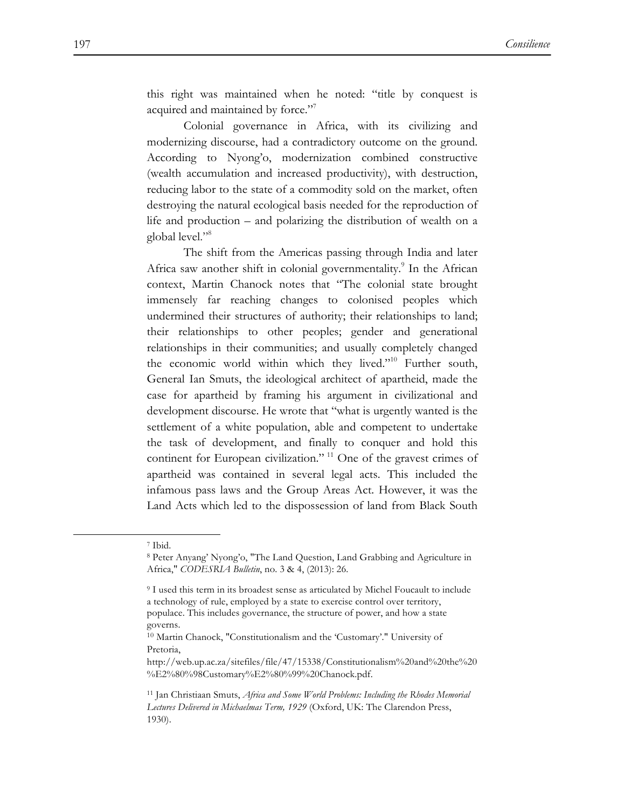this right was maintained when he noted: "title by conquest is acquired and maintained by force."<sup>7</sup>

Colonial governance in Africa, with its civilizing and modernizing discourse, had a contradictory outcome on the ground. According to Nyong'o, modernization combined constructive (wealth accumulation and increased productivity), with destruction, reducing labor to the state of a commodity sold on the market, often destroying the natural ecological basis needed for the reproduction of life and production – and polarizing the distribution of wealth on a global level."8

The shift from the Americas passing through India and later Africa saw another shift in colonial governmentality.<sup>9</sup> In the African context, Martin Chanock notes that "The colonial state brought immensely far reaching changes to colonised peoples which undermined their structures of authority; their relationships to land; their relationships to other peoples; gender and generational relationships in their communities; and usually completely changed the economic world within which they lived."10 Further south, General Ian Smuts, the ideological architect of apartheid, made the case for apartheid by framing his argument in civilizational and development discourse. He wrote that "what is urgently wanted is the settlement of a white population, able and competent to undertake the task of development, and finally to conquer and hold this continent for European civilization." <sup>11</sup> One of the gravest crimes of apartheid was contained in several legal acts. This included the infamous pass laws and the Group Areas Act. However, it was the Land Acts which led to the dispossession of land from Black South

 

<sup>7</sup> Ibid.

<sup>8</sup> Peter Anyang' Nyong'o, "The Land Question, Land Grabbing and Agriculture in Africa," *CODESRIA Bulletin*, no. 3 & 4, (2013): 26.

<sup>9</sup> I used this term in its broadest sense as articulated by Michel Foucault to include a technology of rule, employed by a state to exercise control over territory, populace. This includes governance, the structure of power, and how a state governs.

<sup>10</sup> Martin Chanock, "Constitutionalism and the 'Customary'." University of Pretoria,

http://web.up.ac.za/sitefiles/file/47/15338/Constitutionalism%20and%20the%20 %E2%80%98Customary%E2%80%99%20Chanock.pdf.

<sup>11</sup> Jan Christiaan Smuts, *Africa and Some World Problems: Including the Rhodes Memorial Lectures Delivered in Michaelmas Term, 1929* (Oxford, UK: The Clarendon Press, 1930).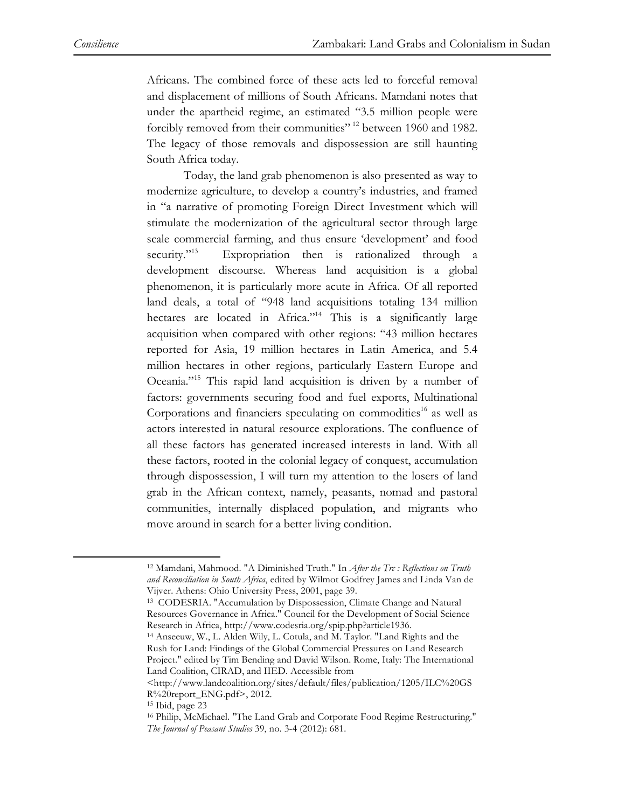Africans. The combined force of these acts led to forceful removal and displacement of millions of South Africans. Mamdani notes that under the apartheid regime, an estimated "3.5 million people were forcibly removed from their communities"<sup>12</sup> between 1960 and 1982. The legacy of those removals and dispossession are still haunting South Africa today.

Today, the land grab phenomenon is also presented as way to modernize agriculture, to develop a country's industries, and framed in "a narrative of promoting Foreign Direct Investment which will stimulate the modernization of the agricultural sector through large scale commercial farming, and thus ensure 'development' and food security."<sup>13</sup> Expropriation then is rationalized through a development discourse. Whereas land acquisition is a global phenomenon, it is particularly more acute in Africa. Of all reported land deals, a total of "948 land acquisitions totaling 134 million hectares are located in Africa."<sup>14</sup> This is a significantly large acquisition when compared with other regions: "43 million hectares reported for Asia, 19 million hectares in Latin America, and 5.4 million hectares in other regions, particularly Eastern Europe and Oceania."15 This rapid land acquisition is driven by a number of factors: governments securing food and fuel exports, Multinational Corporations and financiers speculating on commodities<sup>16</sup> as well as actors interested in natural resource explorations. The confluence of all these factors has generated increased interests in land. With all these factors, rooted in the colonial legacy of conquest, accumulation through dispossession, I will turn my attention to the losers of land grab in the African context, namely, peasants, nomad and pastoral communities, internally displaced population, and migrants who move around in search for a better living condition.

<sup>14</sup> Anseeuw, W., L. Alden Wily, L. Cotula, and M. Taylor. "Land Rights and the Rush for Land: Findings of the Global Commercial Pressures on Land Research Project." edited by Tim Bending and David Wilson. Rome, Italy: The International Land Coalition, CIRAD, and IIED. Accessible from

<sup>12</sup> Mamdani, Mahmood. "A Diminished Truth." In *After the Trc : Reflections on Truth and Reconciliation in South Africa*, edited by Wilmot Godfrey James and Linda Van de Vijver. Athens: Ohio University Press, 2001, page 39.

<sup>13</sup> CODESRIA. "Accumulation by Dispossession, Climate Change and Natural Resources Governance in Africa." Council for the Development of Social Science Research in Africa, http://www.codesria.org/spip.php?article1936.

<sup>&</sup>lt;http://www.landcoalition.org/sites/default/files/publication/1205/ILC%20GS R%20report\_ENG.pdf>, 2012.

<sup>15</sup> Ibid, page 23

<sup>16</sup> Philip, McMichael. "The Land Grab and Corporate Food Regime Restructuring." *The Journal of Peasant Studies* 39, no. 3-4 (2012): 681.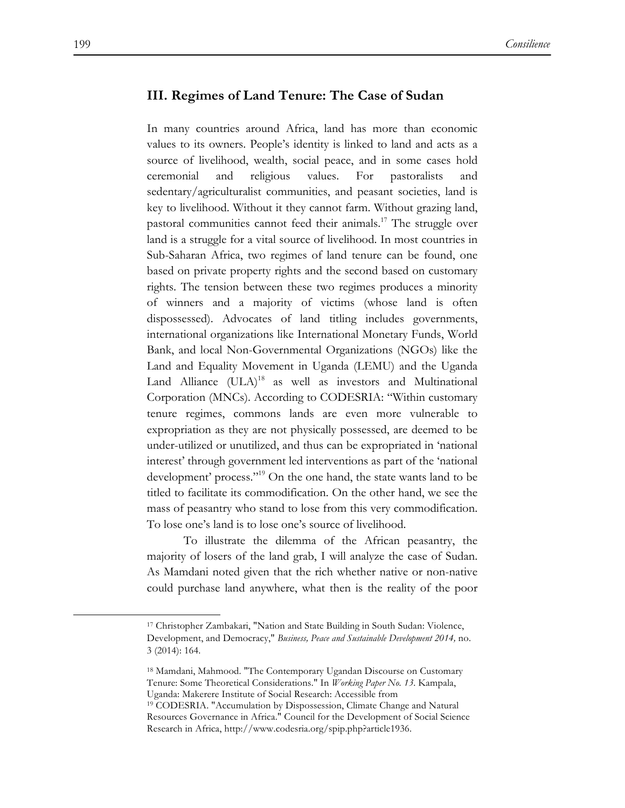### **III. Regimes of Land Tenure: The Case of Sudan**

In many countries around Africa, land has more than economic values to its owners. People's identity is linked to land and acts as a source of livelihood, wealth, social peace, and in some cases hold ceremonial and religious values. For pastoralists and sedentary/agriculturalist communities, and peasant societies, land is key to livelihood. Without it they cannot farm. Without grazing land, pastoral communities cannot feed their animals.<sup>17</sup> The struggle over land is a struggle for a vital source of livelihood. In most countries in Sub-Saharan Africa, two regimes of land tenure can be found, one based on private property rights and the second based on customary rights. The tension between these two regimes produces a minority of winners and a majority of victims (whose land is often dispossessed). Advocates of land titling includes governments, international organizations like International Monetary Funds, World Bank, and local Non-Governmental Organizations (NGOs) like the Land and Equality Movement in Uganda (LEMU) and the Uganda Land Alliance (ULA)<sup>18</sup> as well as investors and Multinational Corporation (MNCs). According to CODESRIA: "Within customary tenure regimes, commons lands are even more vulnerable to expropriation as they are not physically possessed, are deemed to be under-utilized or unutilized, and thus can be expropriated in 'national interest' through government led interventions as part of the 'national development' process."<sup>19</sup> On the one hand, the state wants land to be titled to facilitate its commodification. On the other hand, we see the mass of peasantry who stand to lose from this very commodification. To lose one's land is to lose one's source of livelihood.

To illustrate the dilemma of the African peasantry, the majority of losers of the land grab, I will analyze the case of Sudan. As Mamdani noted given that the rich whether native or non-native could purchase land anywhere, what then is the reality of the poor

<sup>17</sup> Christopher Zambakari, "Nation and State Building in South Sudan: Violence, Development, and Democracy," *Business, Peace and Sustainable Development 2014,* no. 3 (2014): 164.

<sup>18</sup> Mamdani, Mahmood. "The Contemporary Ugandan Discourse on Customary Tenure: Some Theoretical Considerations." In *Working Paper No. 13*. Kampala, Uganda: Makerere Institute of Social Research: Accessible from <sup>19</sup> CODESRIA. "Accumulation by Dispossession, Climate Change and Natural Resources Governance in Africa." Council for the Development of Social Science Research in Africa, http://www.codesria.org/spip.php?article1936.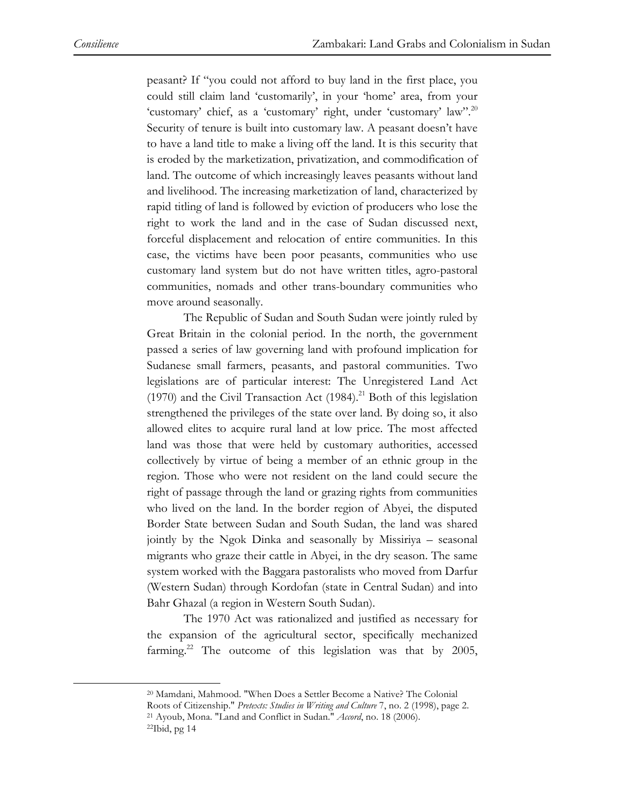peasant? If "you could not afford to buy land in the first place, you could still claim land 'customarily', in your 'home' area, from your 'customary' chief, as a 'customary' right, under 'customary' law".<sup>20</sup> Security of tenure is built into customary law. A peasant doesn't have to have a land title to make a living off the land. It is this security that is eroded by the marketization, privatization, and commodification of land. The outcome of which increasingly leaves peasants without land and livelihood. The increasing marketization of land, characterized by rapid titling of land is followed by eviction of producers who lose the right to work the land and in the case of Sudan discussed next, forceful displacement and relocation of entire communities. In this case, the victims have been poor peasants, communities who use customary land system but do not have written titles, agro-pastoral communities, nomads and other trans-boundary communities who move around seasonally.

The Republic of Sudan and South Sudan were jointly ruled by Great Britain in the colonial period. In the north, the government passed a series of law governing land with profound implication for Sudanese small farmers, peasants, and pastoral communities. Two legislations are of particular interest: The Unregistered Land Act (1970) and the Civil Transaction Act  $(1984)$ .<sup>21</sup> Both of this legislation strengthened the privileges of the state over land. By doing so, it also allowed elites to acquire rural land at low price. The most affected land was those that were held by customary authorities, accessed collectively by virtue of being a member of an ethnic group in the region. Those who were not resident on the land could secure the right of passage through the land or grazing rights from communities who lived on the land. In the border region of Abyei, the disputed Border State between Sudan and South Sudan, the land was shared jointly by the Ngok Dinka and seasonally by Missiriya – seasonal migrants who graze their cattle in Abyei, in the dry season. The same system worked with the Baggara pastoralists who moved from Darfur (Western Sudan) through Kordofan (state in Central Sudan) and into Bahr Ghazal (a region in Western South Sudan).

The 1970 Act was rationalized and justified as necessary for the expansion of the agricultural sector, specifically mechanized farming.<sup>22</sup> The outcome of this legislation was that by 2005,

<sup>20</sup> Mamdani, Mahmood. "When Does a Settler Become a Native? The Colonial Roots of Citizenship." *Pretexts: Studies in Writing and Culture* 7, no. 2 (1998), page 2. <sup>21</sup> Ayoub, Mona. "Land and Conflict in Sudan." *Accord*, no. 18 (2006).

<sup>22</sup>Ibid, pg 14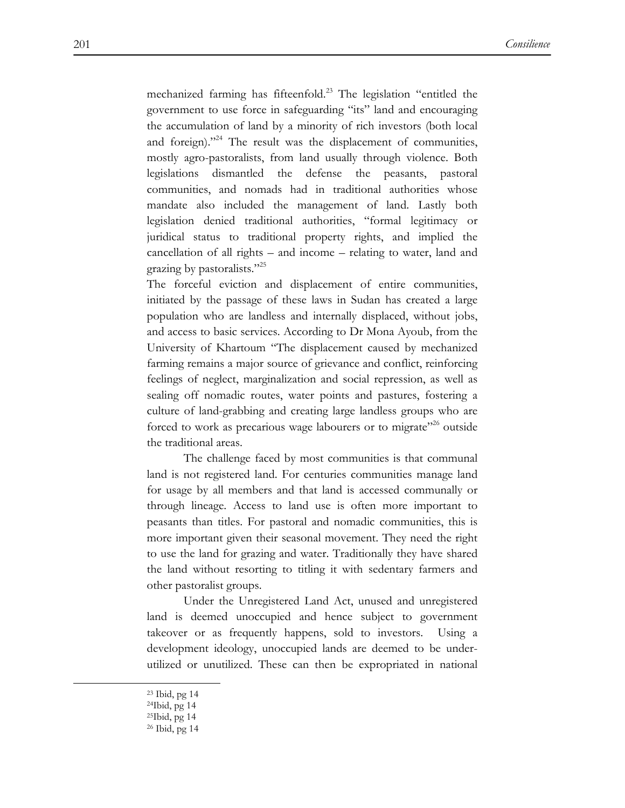mechanized farming has fifteenfold.<sup>23</sup> The legislation "entitled the government to use force in safeguarding "its" land and encouraging the accumulation of land by a minority of rich investors (both local and foreign)."<sup>24</sup> The result was the displacement of communities, mostly agro-pastoralists, from land usually through violence. Both legislations dismantled the defense the peasants, pastoral communities, and nomads had in traditional authorities whose mandate also included the management of land. Lastly both legislation denied traditional authorities, "formal legitimacy or juridical status to traditional property rights, and implied the cancellation of all rights – and income – relating to water, land and grazing by pastoralists."<sup>25</sup>

The forceful eviction and displacement of entire communities, initiated by the passage of these laws in Sudan has created a large population who are landless and internally displaced, without jobs, and access to basic services. According to Dr Mona Ayoub, from the University of Khartoum "The displacement caused by mechanized farming remains a major source of grievance and conflict, reinforcing feelings of neglect, marginalization and social repression, as well as sealing off nomadic routes, water points and pastures, fostering a culture of land-grabbing and creating large landless groups who are forced to work as precarious wage labourers or to migrate"<sup>26</sup> outside the traditional areas.

The challenge faced by most communities is that communal land is not registered land. For centuries communities manage land for usage by all members and that land is accessed communally or through lineage. Access to land use is often more important to peasants than titles. For pastoral and nomadic communities, this is more important given their seasonal movement. They need the right to use the land for grazing and water. Traditionally they have shared the land without resorting to titling it with sedentary farmers and other pastoralist groups.

Under the Unregistered Land Act, unused and unregistered land is deemed unoccupied and hence subject to government takeover or as frequently happens, sold to investors. Using a development ideology, unoccupied lands are deemed to be underutilized or unutilized. These can then be expropriated in national

<sup>23</sup> Ibid, pg 14

<sup>24</sup>Ibid, pg 14

<sup>25</sup>Ibid, pg 14

<sup>26</sup> Ibid, pg 14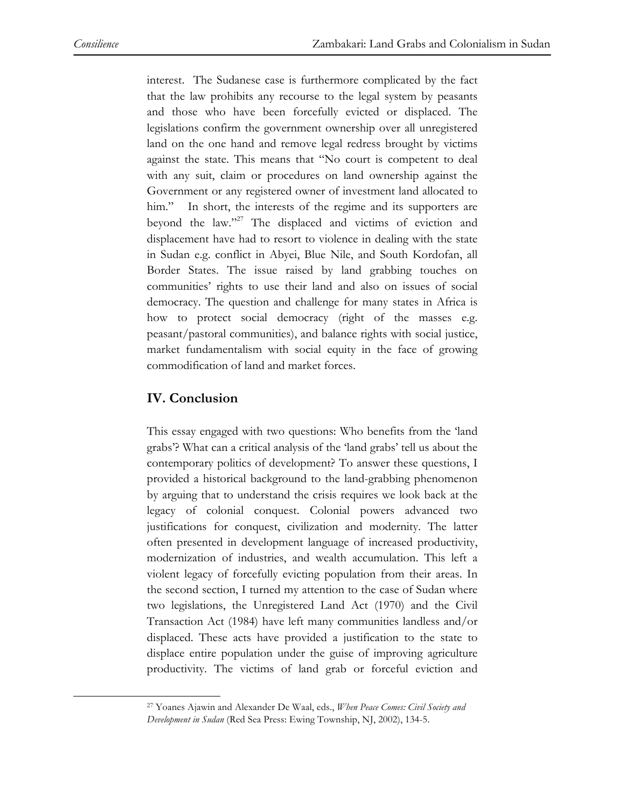interest. The Sudanese case is furthermore complicated by the fact that the law prohibits any recourse to the legal system by peasants and those who have been forcefully evicted or displaced. The legislations confirm the government ownership over all unregistered land on the one hand and remove legal redress brought by victims against the state. This means that "No court is competent to deal with any suit, claim or procedures on land ownership against the Government or any registered owner of investment land allocated to him." In short, the interests of the regime and its supporters are beyond the law."27 The displaced and victims of eviction and displacement have had to resort to violence in dealing with the state in Sudan e.g. conflict in Abyei, Blue Nile, and South Kordofan, all Border States. The issue raised by land grabbing touches on communities' rights to use their land and also on issues of social democracy. The question and challenge for many states in Africa is how to protect social democracy (right of the masses e.g. peasant/pastoral communities), and balance rights with social justice, market fundamentalism with social equity in the face of growing commodification of land and market forces.

## **IV. Conclusion**

This essay engaged with two questions: Who benefits from the 'land grabs'? What can a critical analysis of the 'land grabs' tell us about the contemporary politics of development? To answer these questions, I provided a historical background to the land-grabbing phenomenon by arguing that to understand the crisis requires we look back at the legacy of colonial conquest. Colonial powers advanced two justifications for conquest, civilization and modernity. The latter often presented in development language of increased productivity, modernization of industries, and wealth accumulation. This left a violent legacy of forcefully evicting population from their areas. In the second section, I turned my attention to the case of Sudan where two legislations, the Unregistered Land Act (1970) and the Civil Transaction Act (1984) have left many communities landless and/or displaced. These acts have provided a justification to the state to displace entire population under the guise of improving agriculture productivity. The victims of land grab or forceful eviction and

<sup>&</sup>lt;u> 1989 - Jan Stein Stein, fransk politiker (d. 1989)</u> <sup>27</sup> Yoanes Ajawin and Alexander De Waal, eds., *When Peace Comes: Civil Society and Development in Sudan* (Red Sea Press: Ewing Township, NJ, 2002), 134-5.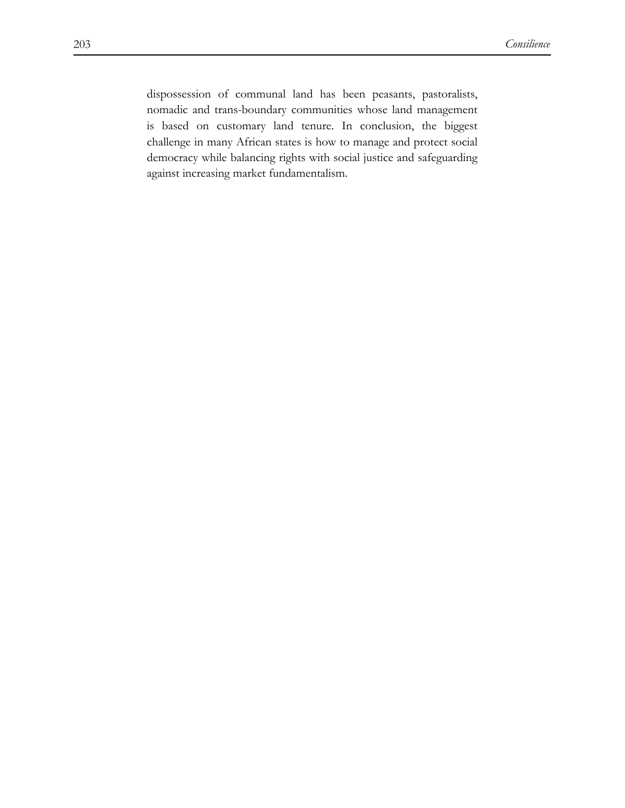dispossession of communal land has been peasants, pastoralists, nomadic and trans-boundary communities whose land management is based on customary land tenure. In conclusion, the biggest challenge in many African states is how to manage and protect social democracy while balancing rights with social justice and safeguarding against increasing market fundamentalism.